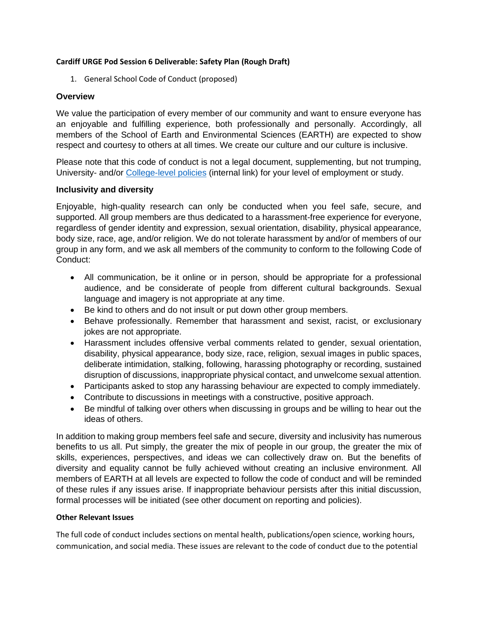## **Cardiff URGE Pod Session 6 Deliverable: Safety Plan (Rough Draft)**

1. General School Code of Conduct (proposed)

## **Overview**

We value the participation of every member of our community and want to ensure everyone has an enjoyable and fulfilling experience, both professionally and personally. Accordingly, all members of the School of Earth and Environmental Sciences (EARTH) are expected to show respect and courtesy to others at all times. We create our culture and our culture is inclusive.

Please note that this code of conduct is not a legal document, supplementing, but not trumping, University- and/or [College-level policies](https://intranet.cardiff.ac.uk/staff/pay-perks-and-contracts/workplace-conduct-and-issues/dignity-at-work-and-study) (internal link) for your level of employment or study.

## **Inclusivity and diversity**

Enjoyable, high-quality research can only be conducted when you feel safe, secure, and supported. All group members are thus dedicated to a harassment-free experience for everyone, regardless of gender identity and expression, sexual orientation, disability, physical appearance, body size, race, age, and/or religion. We do not tolerate harassment by and/or of members of our group in any form, and we ask all members of the community to conform to the following Code of Conduct:

- All communication, be it online or in person, should be appropriate for a professional audience, and be considerate of people from different cultural backgrounds. Sexual language and imagery is not appropriate at any time.
- Be kind to others and do not insult or put down other group members.
- Behave professionally. Remember that harassment and sexist, racist, or exclusionary jokes are not appropriate.
- Harassment includes offensive verbal comments related to gender, sexual orientation, disability, physical appearance, body size, race, religion, sexual images in public spaces, deliberate intimidation, stalking, following, harassing photography or recording, sustained disruption of discussions, inappropriate physical contact, and unwelcome sexual attention.
- Participants asked to stop any harassing behaviour are expected to comply immediately.
- Contribute to discussions in meetings with a constructive, positive approach.
- Be mindful of talking over others when discussing in groups and be willing to hear out the ideas of others.

In addition to making group members feel safe and secure, diversity and inclusivity has numerous benefits to us all. Put simply, the greater the mix of people in our group, the greater the mix of skills, experiences, perspectives, and ideas we can collectively draw on. But the benefits of diversity and equality cannot be fully achieved without creating an inclusive environment. All members of EARTH at all levels are expected to follow the code of conduct and will be reminded of these rules if any issues arise. If inappropriate behaviour persists after this initial discussion, formal processes will be initiated (see other document on reporting and policies).

## **Other Relevant Issues**

The full code of conduct includes sections on mental health, publications/open science, working hours, communication, and social media. These issues are relevant to the code of conduct due to the potential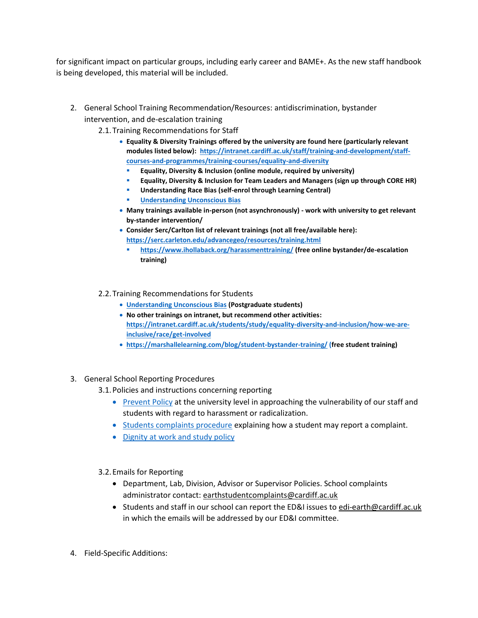for significant impact on particular groups, including early career and BAME+. As the new staff handbook is being developed, this material will be included.

- 2. General School Training Recommendation/Resources: antidiscrimination, bystander intervention, and de-escalation training
	- 2.1.Training Recommendations for Staff
		- **Equality & Diversity Trainings offered by the university are found here (particularly relevant modules listed below): [https://intranet.cardiff.ac.uk/staff/training-and-development/staff](https://intranet.cardiff.ac.uk/staff/training-and-development/staff-courses-and-programmes/training-courses/equality-and-diversity)[courses-and-programmes/training-courses/equality-and-diversity](https://intranet.cardiff.ac.uk/staff/training-and-development/staff-courses-and-programmes/training-courses/equality-and-diversity)**
			- **Equality, Diversity & Inclusion (online module, required by university)**
			- **Equality, Diversity & Inclusion for Team Leaders and Managers (sign up through CORE HR)**
			- **Understanding Race Bias (self-enrol through Learning Central)**
			- **[Understanding Unconscious Bias](https://learningcentral.cf.ac.uk/webapps/blackboard/execute/launcher?type=Course&id=_374670_1&url=)**
		- **Many trainings available in-person (not asynchronously) - work with university to get relevant by-stander intervention/**
		- **Consider Serc/Carlton list of relevant trainings (not all free/available here): <https://serc.carleton.edu/advancegeo/resources/training.html>**
			- **<https://www.ihollaback.org/harassmenttraining/> (free online bystander/de-escalation training)**
	- 2.2.Training Recommendations for Students
		- **[Understanding Unconscious Bias](https://learningcentral.cf.ac.uk/webapps/blackboard/execute/launcher?type=Course&id=_374670_1&url=) (Postgraduate students)**
		- **No other trainings on intranet, but recommend other activities: [https://intranet.cardiff.ac.uk/students/study/equality-diversity-and-inclusion/how-we-are](https://intranet.cardiff.ac.uk/students/study/equality-diversity-and-inclusion/how-we-are-inclusive/race/get-involved)[inclusive/race/get-involved](https://intranet.cardiff.ac.uk/students/study/equality-diversity-and-inclusion/how-we-are-inclusive/race/get-involved)**
		- **<https://marshallelearning.com/blog/student-bystander-training/> (free student training)**
- 3. General School Reporting Procedures
	- 3.1.Policies and instructions concerning reporting
		- [Prevent Policy](https://www.cardiff.ac.uk/public-information/policies-and-procedures/prevent-policy) at the university level in approaching the vulnerability of our staff and students with regard to harassment or radicalization.
		- [Students complaints procedure](https://www.cardiff.ac.uk/public-information/students-applicants/complaints) explaining how a student may report a complaint.
		- [Dignity at work and study policy](https://www.cardiff.ac.uk/public-information/policies-and-procedures/dignity-at-work-and-study)
	- 3.2.Emails for Reporting
		- Department, Lab, Division, Advisor or Supervisor Policies. School complaints administrator contact: [earthstudentcomplaints@cardiff.ac.uk](mailto:earthstudentcomplaints@cardiff.ac.uk)
		- Students and staff in our school can report the ED&I issues to [edi-earth@cardiff.ac.uk](mailto:edi-earth@cardiff.ac.uk) in which the emails will be addressed by our ED&I committee.
- 4. Field-Specific Additions: